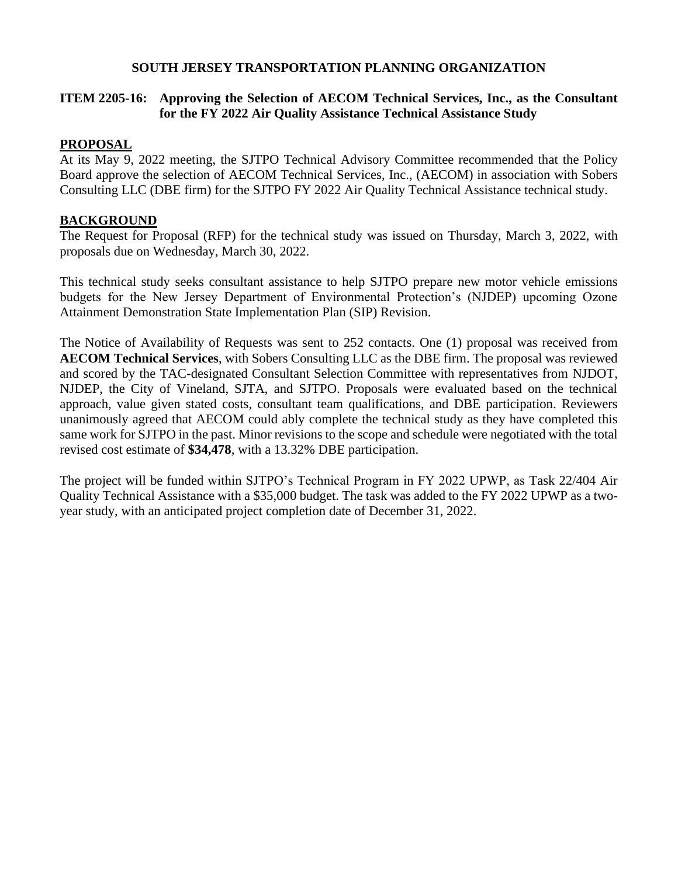### **SOUTH JERSEY TRANSPORTATION PLANNING ORGANIZATION**

### **ITEM 2205-16: Approving the Selection of AECOM Technical Services, Inc., as the Consultant for the FY 2022 Air Quality Assistance Technical Assistance Study**

### **PROPOSAL**

At its May 9, 2022 meeting, the SJTPO Technical Advisory Committee recommended that the Policy Board approve the selection of AECOM Technical Services, Inc., (AECOM) in association with Sobers Consulting LLC (DBE firm) for the SJTPO FY 2022 Air Quality Technical Assistance technical study.

### **BACKGROUND**

The Request for Proposal (RFP) for the technical study was issued on Thursday, March 3, 2022, with proposals due on Wednesday, March 30, 2022.

This technical study seeks consultant assistance to help SJTPO prepare new motor vehicle emissions budgets for the New Jersey Department of Environmental Protection's (NJDEP) upcoming Ozone Attainment Demonstration State Implementation Plan (SIP) Revision.

The Notice of Availability of Requests was sent to 252 contacts. One (1) proposal was received from **AECOM Technical Services**, with Sobers Consulting LLC as the DBE firm. The proposal was reviewed and scored by the TAC-designated Consultant Selection Committee with representatives from NJDOT, NJDEP, the City of Vineland, SJTA, and SJTPO. Proposals were evaluated based on the technical approach, value given stated costs, consultant team qualifications, and DBE participation. Reviewers unanimously agreed that AECOM could ably complete the technical study as they have completed this same work for SJTPO in the past. Minor revisions to the scope and schedule were negotiated with the total revised cost estimate of **\$34,478**, with a 13.32% DBE participation.

The project will be funded within SJTPO's Technical Program in FY 2022 UPWP, as Task 22/404 Air Quality Technical Assistance with a \$35,000 budget. The task was added to the FY 2022 UPWP as a twoyear study, with an anticipated project completion date of December 31, 2022.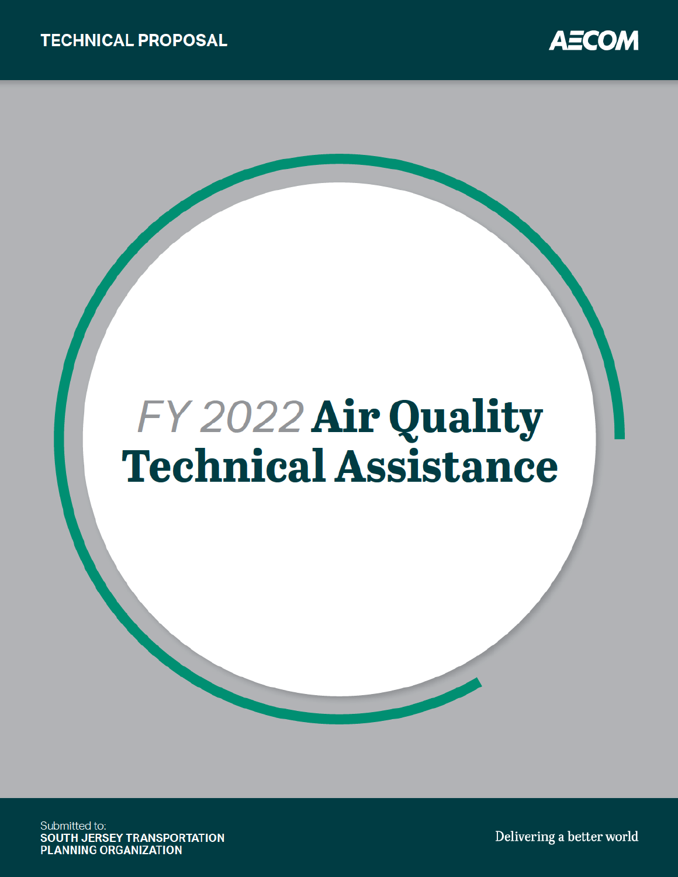

# FY 2022 Air Quality **Technical Assistance**

Submitted to: SOUTH JERSEY TRANSPORTATION **PLANNING ORGANIZATION** 

Delivering a better world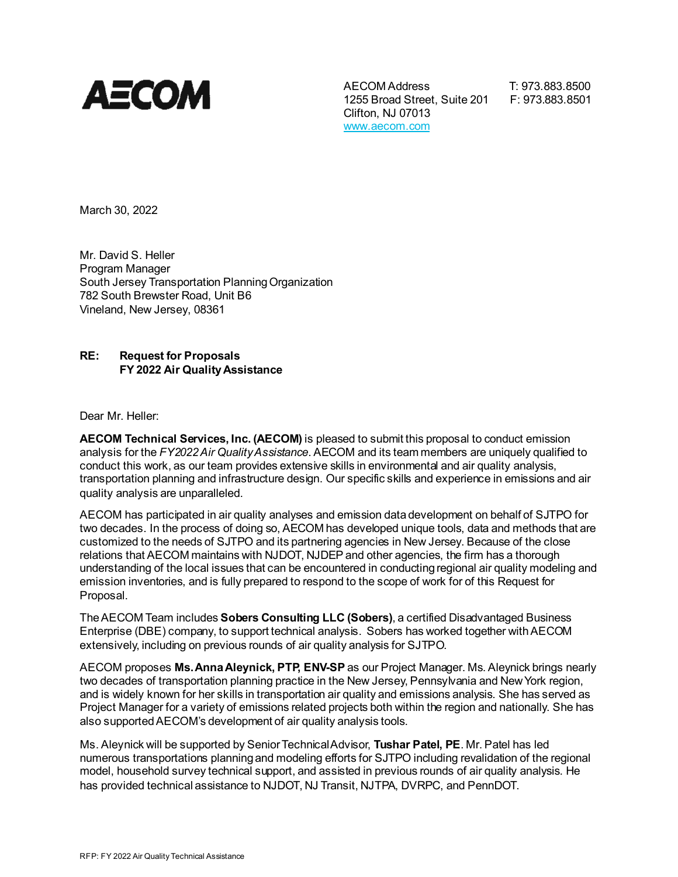

AECOM Address T: 973.883.8500 1255 Broad Street, Suite 201 F: 973.883.8501 Clifton, NJ 07013 www.aecom.com

March 30, 2022

Mr. David S. Heller Program Manager South Jersey Transportation Planning Organization 782 South Brewster Road, Unit B6 Vineland, New Jersey, 08361

#### **RE: Request for Proposals FY 2022 Air Quality Assistance**

Dear Mr. Heller:

**AECOM Technical Services, Inc. (AECOM)** is pleased to submit this proposal to conduct emission analysis for the *FY2022Air Quality Assistance*. AECOM and its team members are uniquely qualified to conduct this work, as our team provides extensive skills in environmental and air quality analysis, transportation planning and infrastructure design. Our specific skills and experience in emissions and air quality analysis are unparalleled.

AECOM has participated in air quality analyses and emission data development on behalf of SJTPO for two decades. In the process of doing so, AECOM has developed unique tools, data and methods that are customized to the needs of SJTPO and its partnering agencies in New Jersey. Because of the close relations that AECOM maintains with NJDOT, NJDEP and other agencies, the firm has a thorough understanding of the local issues that can be encountered in conducting regional air quality modeling and emission inventories, and is fully prepared to respond to the scope of work for of this Request for Proposal.

The AECOM Team includes **Sobers Consulting LLC (Sobers)**, a certified Disadvantaged Business Enterprise (DBE) company, to support technical analysis. Sobers has worked together with AECOM extensively, including on previous rounds of air quality analysis for SJTPO.

AECOM proposes **Ms. Anna Aleynick, PTP, ENV-SP** as our Project Manager. Ms. Aleynick brings nearly two decades of transportation planning practice in the New Jersey, Pennsylvania and New York region, and is widely known for her skills in transportation air quality and emissions analysis. She has served as Project Manager for a variety of emissions related projects both within the region and nationally. She has also supported AECOM's development of air quality analysis tools.

Ms. Aleynick will be supported by Senior Technical Advisor, **Tushar Patel, PE**. Mr. Patel has led numerous transportations planning and modeling efforts for SJTPO including revalidation of the regional model, household survey technical support, and assisted in previous rounds of air quality analysis. He has provided technical assistance to NJDOT, NJ Transit, NJTPA, DVRPC, and PennDOT.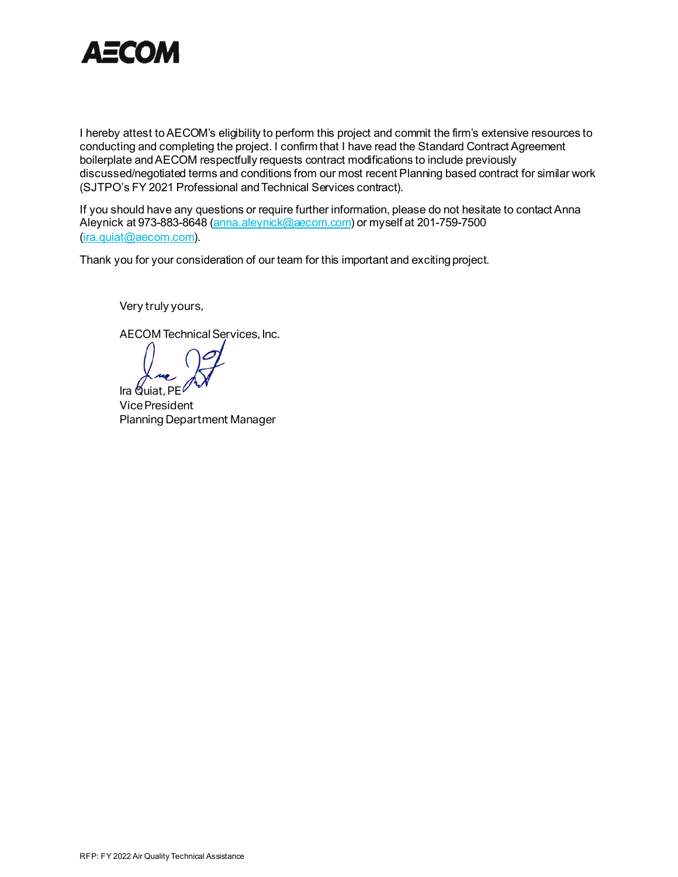

I hereby attest to AECOM's eligibility to perform this project and commit the firm's extensive resources to conducting and completing the project. I confirm that I have read the Standard Contract Agreement boilerplate and AECOM respectfully requests contract modifications to include previously discussed/negotiated terms and conditions from our most recent Planning based contract for similar work (SJTPO's FY 2021 Professional and Technical Services contract).

If you should have any questions or require further information, please do not hesitate to contact Anna Aleynick at 973-883-8648 (anna.aleynick@aecom.com) or myself at 201-759-7500 (ira.quiat@aecom.com).

Thank you for your consideration of our team for this important and exciting project.

Very truly yours,

AECOM Technical Services, Inc.

Ira Quiat, PE

Vice President Planning Department Manager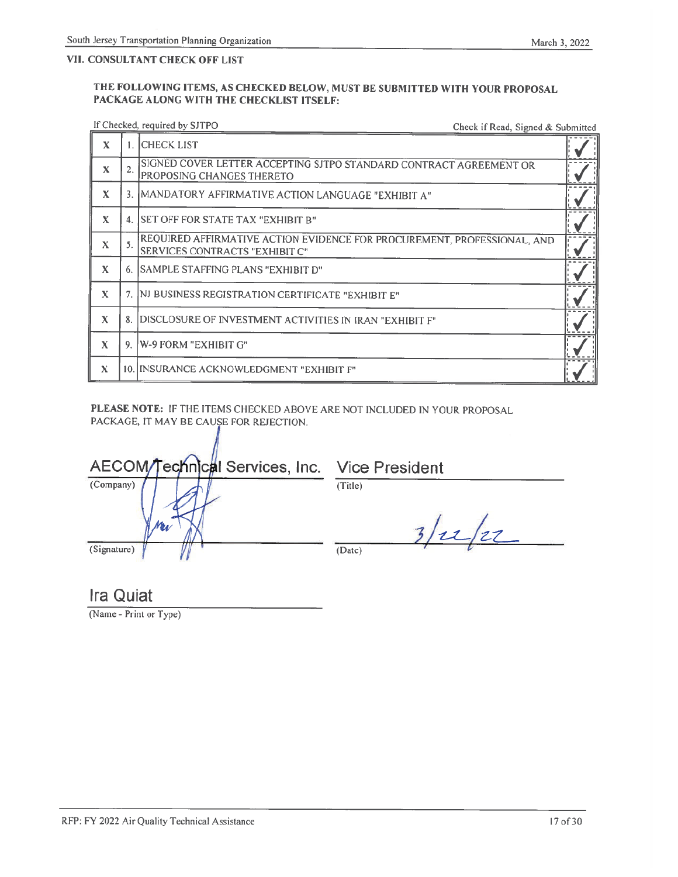### VII. CONSULTANT CHECK OFF LIST

#### THE FOLLOWING ITEMS, AS CHECKED BELOW, MUST BE SUBMITTED WITH YOUR PROPOSAL PACKAGE ALONG WITH THE CHECKLIST ITSELF:

## If Checked, required by SJTPO

Check if Read, Signed & Submitted

| X           |    | <b>CHECK LIST</b>                                                                                         |  |
|-------------|----|-----------------------------------------------------------------------------------------------------------|--|
| X           | 2. | SIGNED COVER LETTER ACCEPTING SJTPO STANDARD CONTRACT AGREEMENT OR<br>PROPOSING CHANGES THERETO           |  |
| X           |    | 3. MANDATORY AFFIRMATIVE ACTION LANGUAGE "EXHIBIT A"                                                      |  |
| $\mathbf x$ |    | SET OFF FOR STATE TAX "EXHIBIT B"                                                                         |  |
| X           |    | REQUIRED AFFIRMATIVE ACTION EVIDENCE FOR PROCUREMENT, PROFESSIONAL, AND<br>SERVICES CONTRACTS "EXHIBIT C" |  |
| X           |    | 6. SAMPLE STAFFING PLANS "EXHIBIT D"                                                                      |  |
| X           |    | 7. INJ BUSINESS REGISTRATION CERTIFICATE "EXHIBIT E"                                                      |  |
| X           |    | 8. DISCLOSURE OF INVESTMENT ACTIVITIES IN IRAN "EXHIBIT F"                                                |  |
| $\mathbf x$ |    | 9. W-9 FORM "EXHIBIT G"                                                                                   |  |
| X           |    | 10. INSURANCE ACKNOWLEDGMENT "EXHIBIT F"                                                                  |  |

PLEASE NOTE: IF THE ITEMS CHECKED ABOVE ARE NOT INCLUDED IN YOUR PROPOSAL PACKAGE, IT MAY BE CAUSE FOR REJECTION.

| AECOM/Technical Services, Inc. Vice President |         |
|-----------------------------------------------|---------|
| (Company)                                     | (Title) |
| (Signature)                                   | (Date)  |

**Ira Quiat** 

(Name - Print or Type)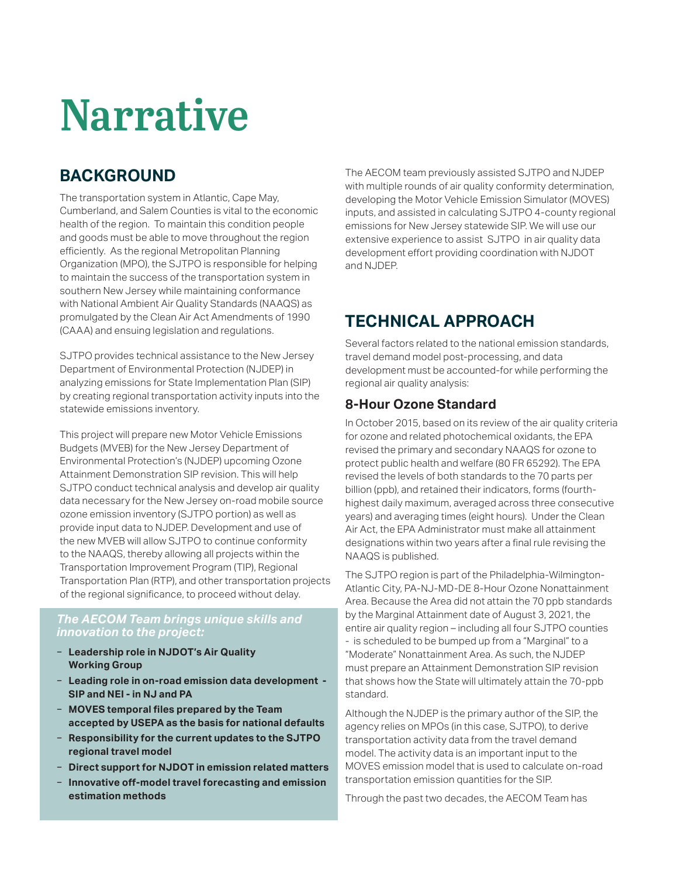# Narrative

# **BACKGROUND**

The transportation system in Atlantic, Cape May, Cumberland, and Salem Counties is vital to the economic health of the region. To maintain this condition people and goods must be able to move throughout the region efficiently. As the regional Metropolitan Planning Organization (MPO), the SJTPO is responsible for helping to maintain the success of the transportation system in southern New Jersey while maintaining conformance with National Ambient Air Quality Standards (NAAQS) as promulgated by the Clean Air Act Amendments of 1990 (CAAA) and ensuing legislation and regulations.

SJTPO provides technical assistance to the New Jersey Department of Environmental Protection (NJDEP) in analyzing emissions for State Implementation Plan (SIP) by creating regional transportation activity inputs into the statewide emissions inventory.

This project will prepare new Motor Vehicle Emissions Budgets (MVEB) for the New Jersey Department of Environmental Protection's (NJDEP) upcoming Ozone Attainment Demonstration SIP revision. This will help SJTPO conduct technical analysis and develop air quality data necessary for the New Jersey on-road mobile source ozone emission inventory (SJTPO portion) as well as provide input data to NJDEP. Development and use of the new MVEB will allow SJTPO to continue conformity to the NAAQS, thereby allowing all projects within the Transportation Improvement Program (TIP), Regional Transportation Plan (RTP), and other transportation projects of the regional significance, to proceed without delay.

### *The AECOM Team brings unique skills and innovation to the project:*

- − **Leadership role in NJDOT's Air Quality Working Group**
- − **Leading role in on-road emission data development SIP and NEI - in NJ and PA**
- − **MOVES temporal files prepared by the Team accepted by USEPA as the basis for national defaults**
- − **Responsibility for the current updates to the SJTPO regional travel model**
- − **Direct support for NJDOT in emission related matters**
- − **Innovative off-model travel forecasting and emission estimation methods**

The AECOM team previously assisted SJTPO and NJDEP with multiple rounds of air quality conformity determination, developing the Motor Vehicle Emission Simulator (MOVES) inputs, and assisted in calculating SJTPO 4-county regional emissions for New Jersey statewide SIP. We will use our extensive experience to assist SJTPO in air quality data development effort providing coordination with NJDOT and NJDEP.

# **TECHNICAL APPROACH**

Several factors related to the national emission standards, travel demand model post-processing, and data development must be accounted-for while performing the regional air quality analysis:

## **8-Hour Ozone Standard**

In October 2015, based on its review of the air quality criteria for ozone and related photochemical oxidants, the EPA revised the primary and secondary NAAQS for ozone to protect public health and welfare (80 FR 65292). The EPA revised the levels of both standards to the 70 parts per billion (ppb), and retained their indicators, forms (fourthhighest daily maximum, averaged across three consecutive years) and averaging times (eight hours). Under the Clean Air Act, the EPA Administrator must make all attainment designations within two years after a final rule revising the NAAQS is published.

The SJTPO region is part of the Philadelphia-Wilmington-Atlantic City, PA-NJ-MD-DE 8-Hour Ozone Nonattainment Area. Because the Area did not attain the 70 ppb standards by the Marginal Attainment date of August 3, 2021, the entire air quality region – including all four SJTPO counties - is scheduled to be bumped up from a "Marginal" to a "Moderate" Nonattainment Area. As such, the NJDEP must prepare an Attainment Demonstration SIP revision that shows how the State will ultimately attain the 70-ppb standard.

Although the NJDEP is the primary author of the SIP, the agency relies on MPOs (in this case, SJTPO), to derive transportation activity data from the travel demand model. The activity data is an important input to the MOVES emission model that is used to calculate on-road transportation emission quantities for the SIP.

Through the past two decades, the AECOM Team has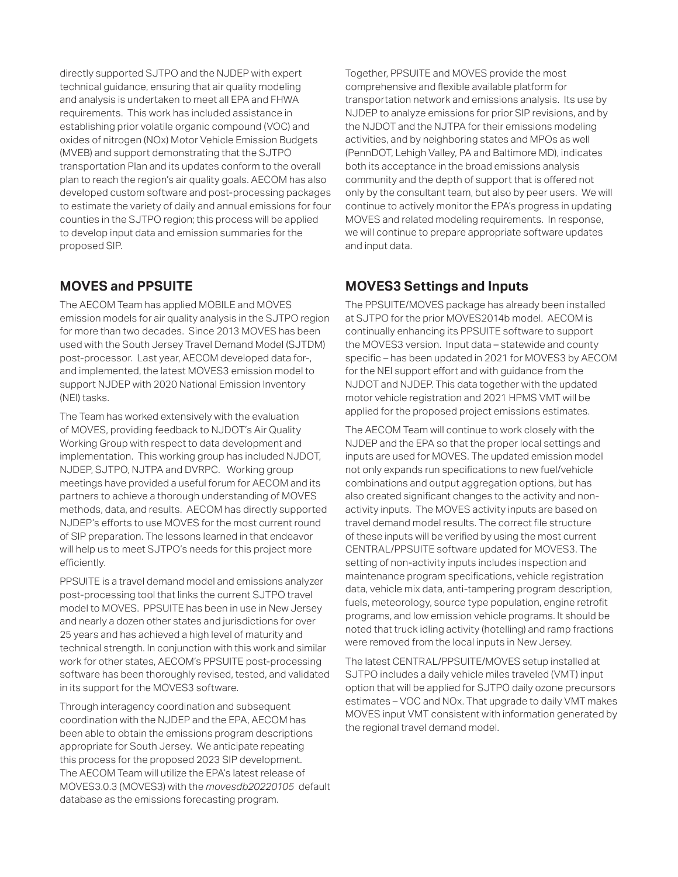directly supported SJTPO and the NJDEP with expert technical guidance, ensuring that air quality modeling and analysis is undertaken to meet all EPA and FHWA requirements. This work has included assistance in establishing prior volatile organic compound (VOC) and oxides of nitrogen (NOx) Motor Vehicle Emission Budgets (MVEB) and support demonstrating that the SJTPO transportation Plan and its updates conform to the overall plan to reach the region's air quality goals. AECOM has also developed custom software and post-processing packages to estimate the variety of daily and annual emissions for four counties in the SJTPO region; this process will be applied to develop input data and emission summaries for the proposed SIP.

## **MOVES and PPSUITE**

The AECOM Team has applied MOBILE and MOVES emission models for air quality analysis in the SJTPO region for more than two decades. Since 2013 MOVES has been used with the South Jersey Travel Demand Model (SJTDM) post-processor. Last year, AECOM developed data for-, and implemented, the latest MOVES3 emission model to support NJDEP with 2020 National Emission Inventory (NEI) tasks.

The Team has worked extensively with the evaluation of MOVES, providing feedback to NJDOT's Air Quality Working Group with respect to data development and implementation. This working group has included NJDOT, NJDEP, SJTPO, NJTPA and DVRPC. Working group meetings have provided a useful forum for AECOM and its partners to achieve a thorough understanding of MOVES methods, data, and results. AECOM has directly supported NJDEP's efforts to use MOVES for the most current round of SIP preparation. The lessons learned in that endeavor will help us to meet SJTPO's needs for this project more efficiently.

PPSUITE is a travel demand model and emissions analyzer post-processing tool that links the current SJTPO travel model to MOVES. PPSUITE has been in use in New Jersey and nearly a dozen other states and jurisdictions for over 25 years and has achieved a high level of maturity and technical strength. In conjunction with this work and similar work for other states, AECOM's PPSUITE post-processing software has been thoroughly revised, tested, and validated in its support for the MOVES3 software.

Through interagency coordination and subsequent coordination with the NJDEP and the EPA, AECOM has been able to obtain the emissions program descriptions appropriate for South Jersey. We anticipate repeating this process for the proposed 2023 SIP development. The AECOM Team will utilize the EPA's latest release of MOVES3.0.3 (MOVES3) with the *movesdb20220105* default database as the emissions forecasting program.

Together, PPSUITE and MOVES provide the most comprehensive and flexible available platform for transportation network and emissions analysis. Its use by NJDEP to analyze emissions for prior SIP revisions, and by the NJDOT and the NJTPA for their emissions modeling activities, and by neighboring states and MPOs as well (PennDOT, Lehigh Valley, PA and Baltimore MD), indicates both its acceptance in the broad emissions analysis community and the depth of support that is offered not only by the consultant team, but also by peer users. We will continue to actively monitor the EPA's progress in updating MOVES and related modeling requirements. In response, we will continue to prepare appropriate software updates and input data.

## **MOVES3 Settings and Inputs**

The PPSUITE/MOVES package has already been installed at SJTPO for the prior MOVES2014b model. AECOM is continually enhancing its PPSUITE software to support the MOVES3 version. Input data – statewide and county specific – has been updated in 2021 for MOVES3 by AECOM for the NEI support effort and with guidance from the NJDOT and NJDEP. This data together with the updated motor vehicle registration and 2021 HPMS VMT will be applied for the proposed project emissions estimates.

The AECOM Team will continue to work closely with the NJDEP and the EPA so that the proper local settings and inputs are used for MOVES. The updated emission model not only expands run specifications to new fuel/vehicle combinations and output aggregation options, but has also created significant changes to the activity and nonactivity inputs. The MOVES activity inputs are based on travel demand model results. The correct file structure of these inputs will be verified by using the most current CENTRAL/PPSUITE software updated for MOVES3. The setting of non-activity inputs includes inspection and maintenance program specifications, vehicle registration data, vehicle mix data, anti-tampering program description, fuels, meteorology, source type population, engine retrofit programs, and low emission vehicle programs. It should be noted that truck idling activity (hotelling) and ramp fractions were removed from the local inputs in New Jersey.

The latest CENTRAL/PPSUITE/MOVES setup installed at SJTPO includes a daily vehicle miles traveled (VMT) input option that will be applied for SJTPO daily ozone precursors estimates – VOC and NOx. That upgrade to daily VMT makes MOVES input VMT consistent with information generated by the regional travel demand model.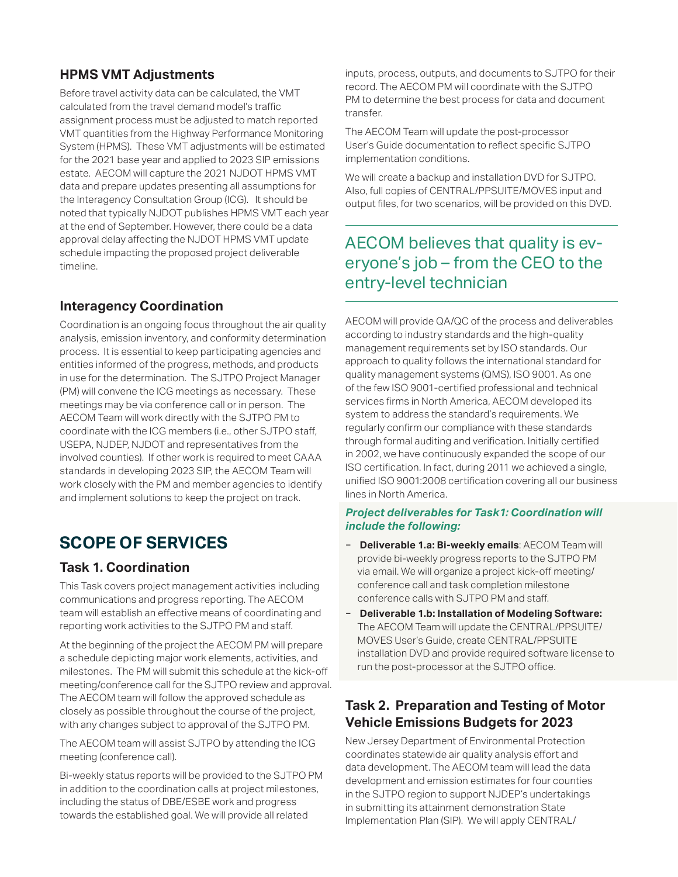## **HPMS VMT Adjustments**

Before travel activity data can be calculated, the VMT calculated from the travel demand model's traffic assignment process must be adjusted to match reported VMT quantities from the Highway Performance Monitoring System (HPMS). These VMT adjustments will be estimated for the 2021 base year and applied to 2023 SIP emissions estate. AECOM will capture the 2021 NJDOT HPMS VMT data and prepare updates presenting all assumptions for the Interagency Consultation Group (ICG). It should be noted that typically NJDOT publishes HPMS VMT each year at the end of September. However, there could be a data approval delay affecting the NJDOT HPMS VMT update schedule impacting the proposed project deliverable timeline.

## **Interagency Coordination**

Coordination is an ongoing focus throughout the air quality analysis, emission inventory, and conformity determination process. It is essential to keep participating agencies and entities informed of the progress, methods, and products in use for the determination. The SJTPO Project Manager (PM) will convene the ICG meetings as necessary. These meetings may be via conference call or in person. The AECOM Team will work directly with the SJTPO PM to coordinate with the ICG members (i.e., other SJTPO staff, USEPA, NJDEP, NJDOT and representatives from the involved counties). If other work is required to meet CAAA standards in developing 2023 SIP, the AECOM Team will work closely with the PM and member agencies to identify and implement solutions to keep the project on track.

# **SCOPE OF SERVICES**

## **Task 1. Coordination**

This Task covers project management activities including communications and progress reporting. The AECOM team will establish an effective means of coordinating and reporting work activities to the SJTPO PM and staff.

At the beginning of the project the AECOM PM will prepare a schedule depicting major work elements, activities, and milestones. The PM will submit this schedule at the kick-off meeting/conference call for the SJTPO review and approval. The AECOM team will follow the approved schedule as closely as possible throughout the course of the project, with any changes subject to approval of the SJTPO PM.

The AECOM team will assist SJTPO by attending the ICG meeting (conference call).

Bi-weekly status reports will be provided to the SJTPO PM in addition to the coordination calls at project milestones, including the status of DBE/ESBE work and progress towards the established goal. We will provide all related

inputs, process, outputs, and documents to SJTPO for their record. The AECOM PM will coordinate with the SJTPO PM to determine the best process for data and document transfer.

The AECOM Team will update the post-processor User's Guide documentation to reflect specific SJTPO implementation conditions.

We will create a backup and installation DVD for SJTPO. Also, full copies of CENTRAL/PPSUITE/MOVES input and output files, for two scenarios, will be provided on this DVD.

## AECOM believes that quality is everyone's job – from the CEO to the entry-level technician

AECOM will provide QA/QC of the process and deliverables according to industry standards and the high-quality management requirements set by ISO standards. Our approach to quality follows the international standard for quality management systems (QMS), ISO 9001. As one of the few ISO 9001-certified professional and technical services firms in North America, AECOM developed its system to address the standard's requirements. We regularly confirm our compliance with these standards through formal auditing and verification. Initially certified in 2002, we have continuously expanded the scope of our ISO certification. In fact, during 2011 we achieved a single, unified ISO 9001:2008 certification covering all our business lines in North America.

#### *Project deliverables for Task1: Coordination will include the following:*

- − **Deliverable 1.a: Bi-weekly emails**: AECOM Team will provide bi-weekly progress reports to the SJTPO PM via email. We will organize a project kick-off meeting/ conference call and task completion milestone conference calls with SJTPO PM and staff.
- − **Deliverable 1.b: Installation of Modeling Software:**  The AECOM Team will update the CENTRAL/PPSUITE/ MOVES User's Guide, create CENTRAL/PPSUITE installation DVD and provide required software license to run the post-processor at the SJTPO office.

## **Task 2. Preparation and Testing of Motor Vehicle Emissions Budgets for 2023**

New Jersey Department of Environmental Protection coordinates statewide air quality analysis effort and data development. The AECOM team will lead the data development and emission estimates for four counties in the SJTPO region to support NJDEP's undertakings in submitting its attainment demonstration State Implementation Plan (SIP). We will apply CENTRAL/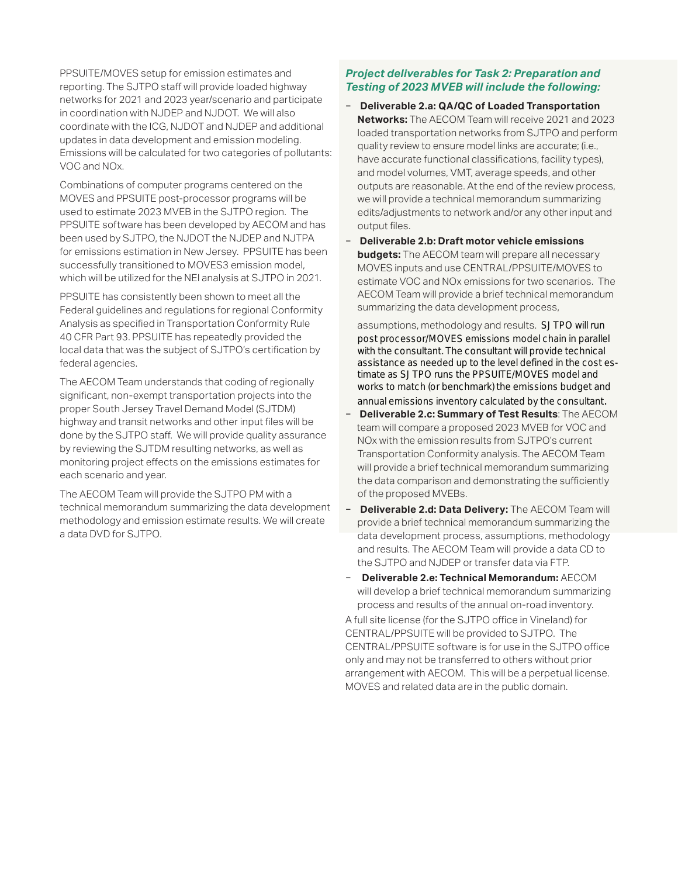PPSUITE/MOVES setup for emission estimates and reporting. The SJTPO staff will provide loaded highway networks for 2021 and 2023 year/scenario and participate in coordination with NJDEP and NJDOT. We will also coordinate with the ICG, NJDOT and NJDEP and additional updates in data development and emission modeling. Emissions will be calculated for two categories of pollutants: VOC and NOx.

Combinations of computer programs centered on the MOVES and PPSUITE post-processor programs will be used to estimate 2023 MVEB in the SJTPO region. The PPSUITE software has been developed by AECOM and has been used by SJTPO, the NJDOT the NJDEP and NJTPA for emissions estimation in New Jersey. PPSUITE has been successfully transitioned to MOVES3 emission model, which will be utilized for the NEI analysis at SJTPO in 2021.

PPSUITE has consistently been shown to meet all the Federal guidelines and regulations for regional Conformity Analysis as specified in Transportation Conformity Rule 40 CFR Part 93. PPSUITE has repeatedly provided the local data that was the subject of SJTPO's certification by federal agencies.

The AECOM Team understands that coding of regionally significant, non-exempt transportation projects into the proper South Jersey Travel Demand Model (SJTDM) highway and transit networks and other input files will be done by the SJTPO staff. We will provide quality assurance by reviewing the SJTDM resulting networks, as well as monitoring project effects on the emissions estimates for each scenario and year.

The AECOM Team will provide the SJTPO PM with a technical memorandum summarizing the data development methodology and emission estimate results. We will create a data DVD for SJTPO.

#### *Project deliverables for Task 2: Preparation and Testing of 2023 MVEB will include the following:*

- − **Deliverable 2.a: QA/QC of Loaded Transportation Networks:** The AECOM Team will receive 2021 and 2023 loaded transportation networks from SJTPO and perform quality review to ensure model links are accurate; (i.e., have accurate functional classifications, facility types), and model volumes, VMT, average speeds, and other outputs are reasonable. At the end of the review process, we will provide a technical memorandum summarizing edits/adjustments to network and/or any other input and output files.
- − **Deliverable 2.b: Draft motor vehicle emissions budgets:** The AECOM team will prepare all necessary MOVES inputs and use CENTRAL/PPSUITE/MOVES to estimate VOC and NOx emissions for two scenarios. The AECOM Team will provide a brief technical memorandum summarizing the data development process,

assumptions, methodology and results. SJTPO will run post processor/MOVES emissions model chain in parallel with the consultant. The consultant will provide technical assistance as needed up to the level defined in the cost estimate as SJTPO runs the PPSUITE/MOVES model and works to match (or benchmark) the emissions budget and annual emissions inventory calculated by the consultant.

- − **Deliverable 2.c: Summary of Test Results**: The AECOM team will compare a proposed 2023 MVEB for VOC and NOx with the emission results from SJTPO's current Transportation Conformity analysis. The AECOM Team will provide a brief technical memorandum summarizing the data comparison and demonstrating the sufficiently of the proposed MVEBs.
- − **Deliverable 2.d: Data Delivery:** The AECOM Team will provide a brief technical memorandum summarizing the data development process, assumptions, methodology and results. The AECOM Team will provide a data CD to the SJTPO and NJDEP or transfer data via FTP.
- − **Deliverable 2.e: Technical Memorandum:** AECOM will develop a brief technical memorandum summarizing process and results of the annual on-road inventory.

A full site license (for the SJTPO office in Vineland) for CENTRAL/PPSUITE will be provided to SJTPO. The CENTRAL/PPSUITE software is for use in the SJTPO office only and may not be transferred to others without prior arrangement with AECOM. This will be a perpetual license. MOVES and related data are in the public domain.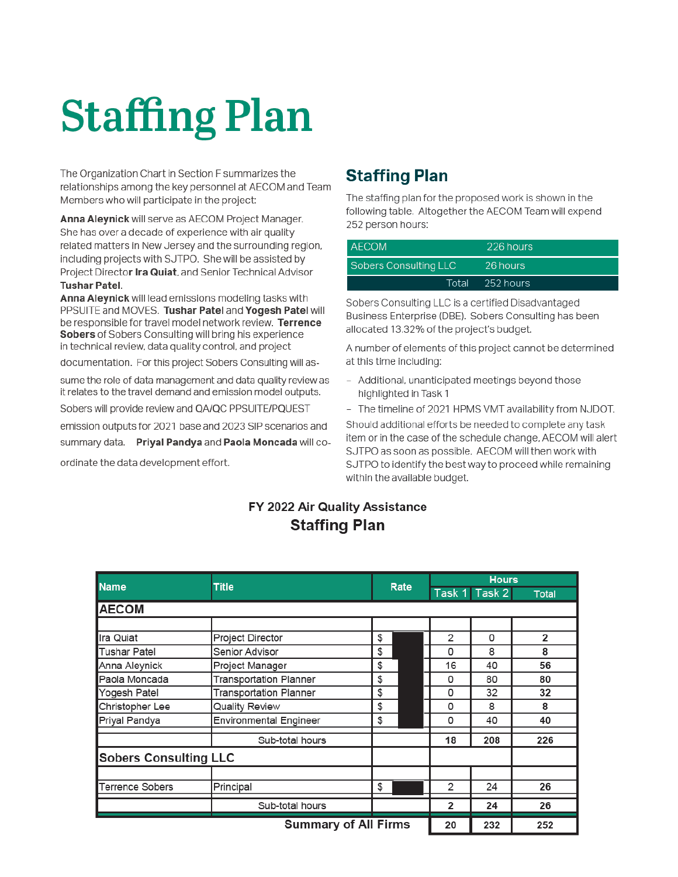# **Staffing Plan**

The Organization Chart in Section F summarizes the relationships among the key personnel at AECOM and Team Members who will participate in the project:

Anna Aleynick will serve as AECOM Project Manager. She has over a decade of experience with air quality related matters in New Jersey and the surrounding region, including projects with SJTPO. She will be assisted by Project Director Ira Quiat, and Senior Technical Advisor **Tushar Patel.** 

Anna Aleynick will lead emissions modeling tasks with PPSUITE and MOVES. Tushar Patel and Yogesh Patel will be responsible for travel model network review. Terrence Sobers of Sobers Consulting will bring his experience in technical review, data quality control, and project

documentation. For this project Sobers Consulting will as-

sume the role of data management and data quality review as it relates to the travel demand and emission model outputs.

Sobers will provide review and QA/QC PPSUITE/PQUEST

emission outputs for 2021 base and 2023 SIP scenarios and

summary data. Priyal Pandya and Paola Moncada will co-

ordinate the data development effort.

## **Staffing Plan**

The staffing plan for the proposed work is shown in the following table. Altogether the AECOM Team will expend 252 person hours:

| <b>AECOM</b>          | 226 hours       |
|-----------------------|-----------------|
| Sobers Consulting LLC | 26 hours        |
|                       | Total 252 hours |

Sobers Consulting LLC is a certified Disadvantaged Business Enterprise (DBE). Sobers Consulting has been allocated 13.32% of the project's budget.

A number of elements of this project cannot be determined at this time including:

- Additional, unanticipated meetings beyond those highlighted in Task 1
- The timeline of 2021 HPMS VMT availability from NJDOT.

Should additional efforts be needed to complete any task item or in the case of the schedule change, AECOM will alert SJTPO as soon as possible. AECOM will then work with SJTPO to identify the best way to proceed while remaining within the available budget.

## FY 2022 Air Quality Assistance **Staffing Plan**

|                              | <b>Title</b>                  | Rate |  | <b>Hours</b>   |               |                |
|------------------------------|-------------------------------|------|--|----------------|---------------|----------------|
| <b>Name</b>                  |                               |      |  |                | Task 1 Task 2 | <b>Total</b>   |
| <b>AECOM</b>                 |                               |      |  |                |               |                |
|                              |                               |      |  |                |               |                |
| Ira Quiat                    | Project Director              | \$   |  | 2              | 0             | $\overline{2}$ |
| Tushar Patel                 | Senior Advisor                | \$   |  | 0              | 8             | 8              |
| Anna Aleynick                | Project Manager               | \$   |  | 16             | 40            | 56             |
| Paola Moncada                | <b>Transportation Planner</b> | \$   |  | 0              | 80            | 80             |
| Yogesh Patel                 | <b>Transportation Planner</b> | \$   |  | 0              | 32            | 32             |
| Christopher Lee              | Quality Review                | \$   |  | 0              | 8             | 8              |
| Priyal Pandya                | <b>Environmental Engineer</b> | \$   |  | 0              | 40            | 40             |
|                              | Sub-total hours               |      |  | 18             | 208           | 226            |
| <b>Sobers Consulting LLC</b> |                               |      |  |                |               |                |
|                              |                               |      |  |                |               |                |
| <b>Terrence Sobers</b>       | Principal                     | \$   |  | $\overline{2}$ | 24            | 26             |
|                              | Sub-total hours               |      |  | 2              | 24            | 26             |
|                              | <b>Summary of All Firms</b>   |      |  | 20             | 232           | 252            |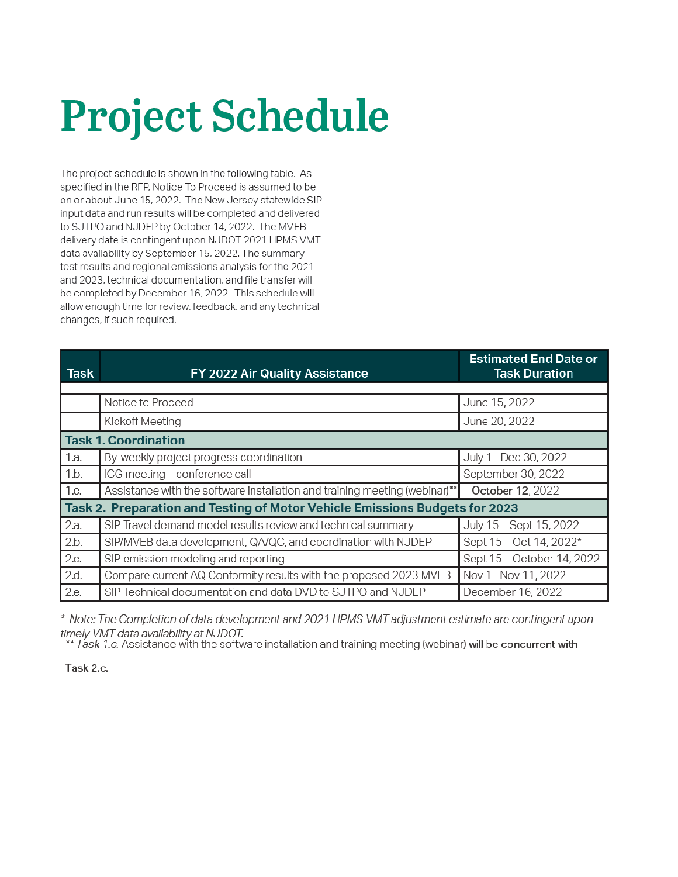# **Project Schedule**

The project schedule is shown in the following table. As specified in the RFP, Notice To Proceed is assumed to be on or about June 15, 2022. The New Jersey statewide SIP input data and run results will be completed and delivered to SJTPO and NJDEP by October 14, 2022. The MVEB delivery date is contingent upon NJDOT 2021 HPMS VMT data availability by September 15, 2022. The summary test results and regional emissions analysis for the 2021 and 2023, technical documentation, and file transfer will be completed by December 16, 2022. This schedule will allow enough time for review, feedback, and any technical changes, if such required.

| <b>Task</b>                                                                 | FY 2022 Air Quality Assistance                                             | <b>Estimated End Date or</b><br><b>Task Duration</b> |  |  |  |
|-----------------------------------------------------------------------------|----------------------------------------------------------------------------|------------------------------------------------------|--|--|--|
|                                                                             |                                                                            |                                                      |  |  |  |
|                                                                             | Notice to Proceed                                                          | June 15, 2022                                        |  |  |  |
|                                                                             | <b>Kickoff Meeting</b>                                                     | June 20, 2022                                        |  |  |  |
| <b>Task 1. Coordination</b>                                                 |                                                                            |                                                      |  |  |  |
| 1.a.                                                                        | By-weekly project progress coordination                                    | July 1- Dec 30, 2022                                 |  |  |  |
| 1.b.                                                                        | ICG meeting - conference call                                              | September 30, 2022                                   |  |  |  |
| 1.c.                                                                        | Assistance with the software installation and training meeting (webinar)** | October 12, 2022                                     |  |  |  |
| Task 2. Preparation and Testing of Motor Vehicle Emissions Budgets for 2023 |                                                                            |                                                      |  |  |  |
| 2.a.                                                                        | SIP Travel demand model results review and technical summary               | July 15 - Sept 15, 2022                              |  |  |  |
| 2.b.                                                                        | SIP/MVEB data development, QA/QC, and coordination with NJDEP              | Sept 15 - Oct 14, 2022*                              |  |  |  |
| 2.c.                                                                        | SIP emission modeling and reporting                                        | Sept 15 - October 14, 2022                           |  |  |  |
| 2.d.                                                                        | Compare current AQ Conformity results with the proposed 2023 MVEB          | Nov 1- Nov 11, 2022                                  |  |  |  |
| 2.e.                                                                        | SIP Technical documentation and data DVD to SJTPO and NJDEP                | December 16, 2022                                    |  |  |  |

\* Note: The Completion of data development and 2021 HPMS VMT adjustment estimate are contingent upon timely VMT data availability at NJDOT.

 $^\circ$  Task 1.c. Assistance with the software installation and training meeting (webinar) will be concurrent with

Task 2.c.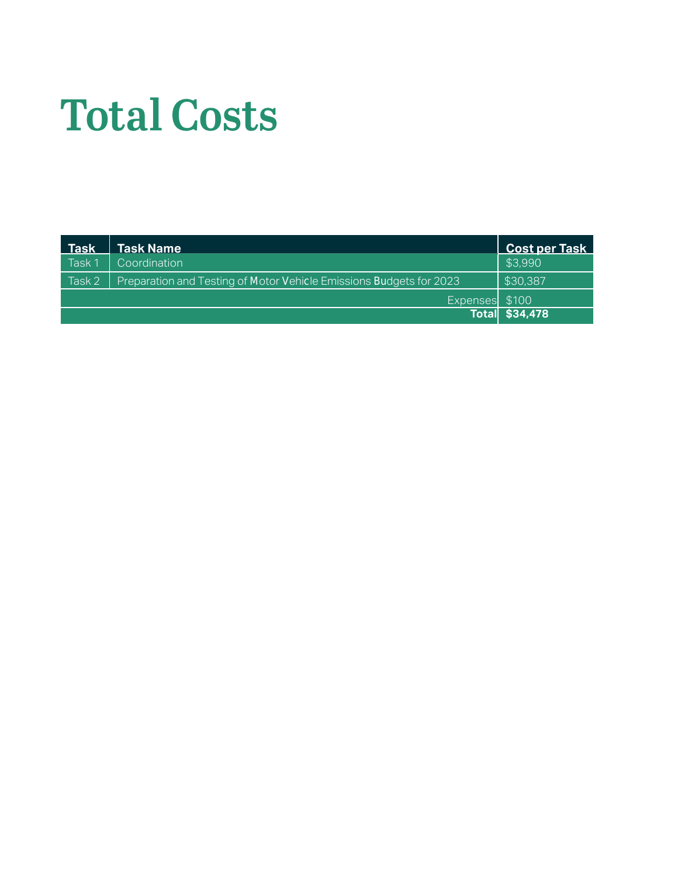# Total Costs

| <b>Task</b> | <b>Task Name</b>                                                    | <b>Cost per Task</b>  |
|-------------|---------------------------------------------------------------------|-----------------------|
| Task 1      | Coordination                                                        | \$3,990               |
| Task 2      | Preparation and Testing of Motor Vehicle Emissions Budgets for 2023 | \$30,387              |
|             | Expenses \$100                                                      |                       |
|             |                                                                     | <b>Total \$34,478</b> |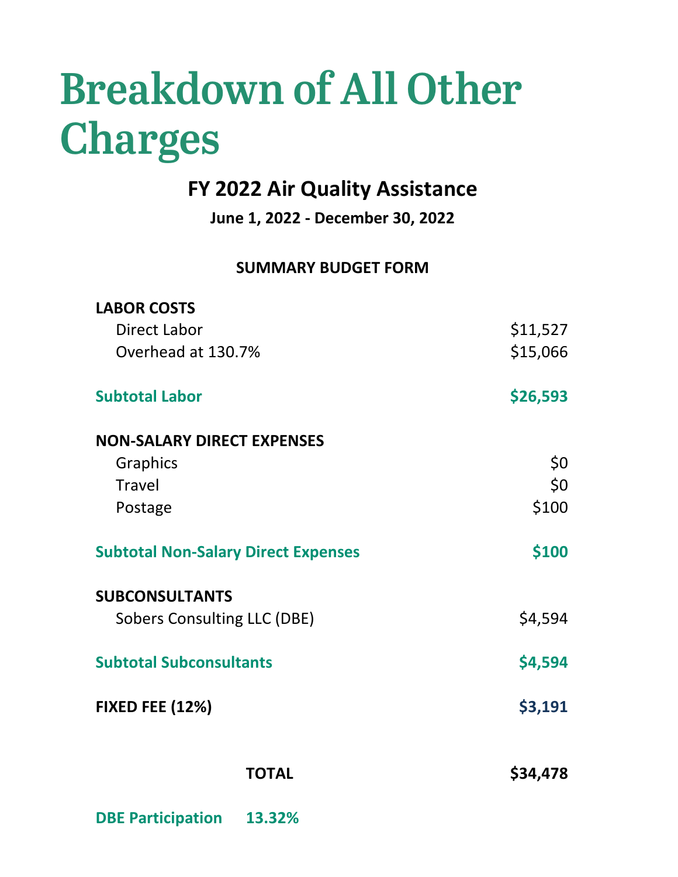# Breakdown of All Other Charges

# **FY 2022 Air Quality Assistance**

**June 1, 2022 - December 30, 2022**

## **SUMMARY BUDGET FORM**

| <b>TOTAL</b>                                                | \$34,478   |
|-------------------------------------------------------------|------------|
| <b>FIXED FEE (12%)</b>                                      | \$3,191    |
| <b>Subtotal Subconsultants</b>                              | \$4,594    |
| <b>SUBCONSULTANTS</b><br><b>Sobers Consulting LLC (DBE)</b> | \$4,594    |
| <b>Subtotal Non-Salary Direct Expenses</b>                  | \$100      |
| Postage                                                     | \$100      |
| Graphics<br><b>Travel</b>                                   | \$0<br>\$0 |
| <b>NON-SALARY DIRECT EXPENSES</b>                           |            |
| <b>Subtotal Labor</b>                                       | \$26,593   |
| Overhead at 130.7%                                          | \$15,066   |
| Direct Labor                                                | \$11,527   |
| <b>LABOR COSTS</b>                                          |            |

**DBE Participation 13.32%**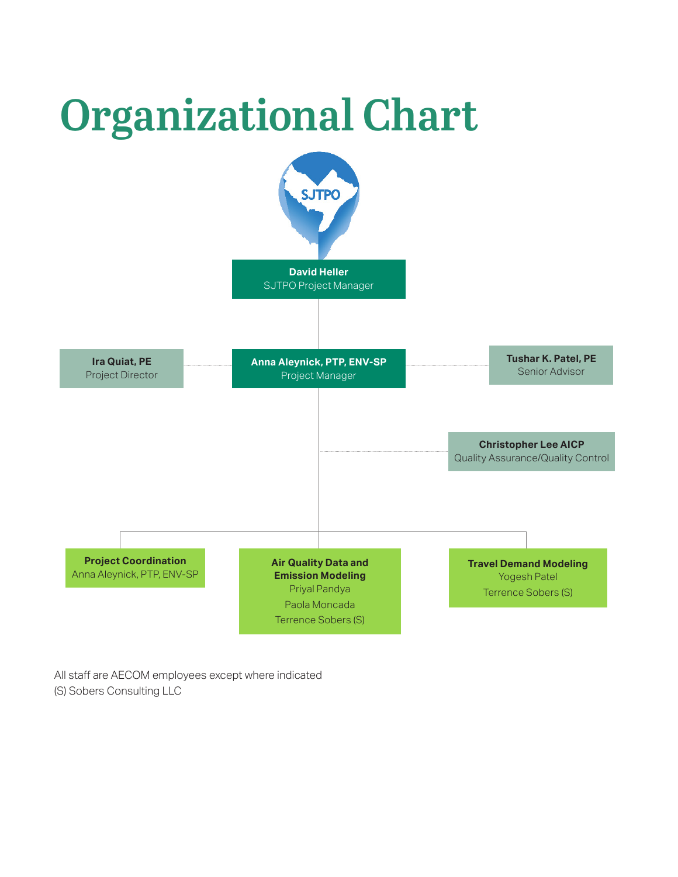

All staff are AECOM employees except where indicated

(S) Sobers Consulting LLC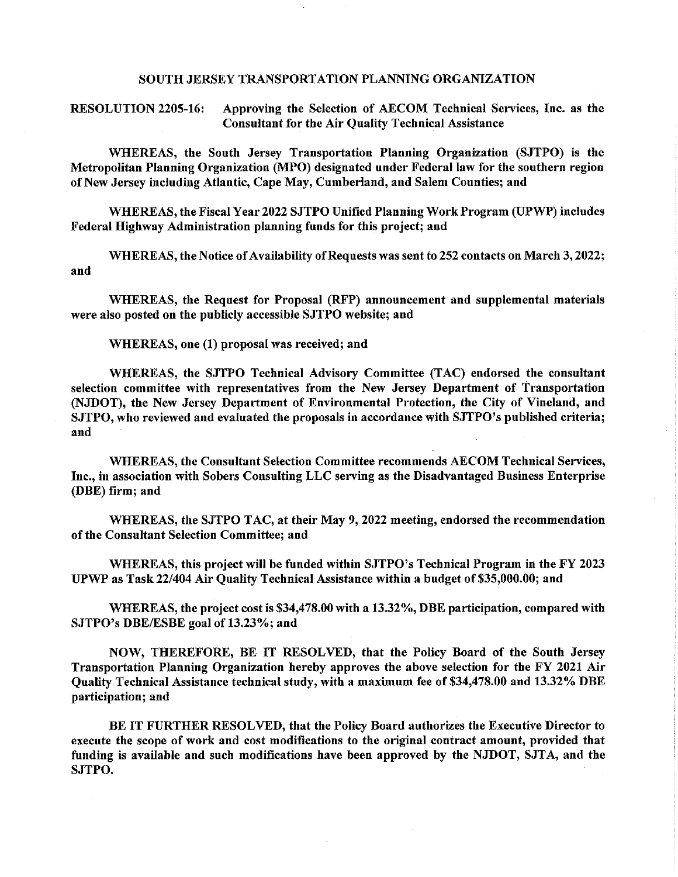#### SOUTH JERSEY TRANSPORTATION PLANNING ORGANIZATION

**RESOLUTION 2205-16:** Approving the Selection of AECOM Technical Services, Inc. as the **Consultant for the Air Quality Technical Assistance** 

WHEREAS, the South Jersey Transportation Planning Organization (SJTPO) is the Metropolitan Planning Organization (MPO) designated under Federal law for the southern region of New Jersey including Atlantic, Cape May, Cumberland, and Salem Counties; and

WHEREAS, the Fiscal Year 2022 SJTPO Unified Planning Work Program (UPWP) includes Federal Highway Administration planning funds for this project; and

WHEREAS, the Notice of Availability of Requests was sent to 252 contacts on March 3, 2022; and

WHEREAS, the Request for Proposal (RFP) announcement and supplemental materials were also posted on the publicly accessible SJTPO website; and

WHEREAS, one (1) proposal was received; and

WHEREAS, the SJTPO Technical Advisory Committee (TAC) endorsed the consultant selection committee with representatives from the New Jersey Department of Transportation (NJDOT), the New Jersey Department of Environmental Protection, the City of Vineland, and SJTPO, who reviewed and evaluated the proposals in accordance with SJTPO's published criteria; and

WHEREAS, the Consultant Selection Committee recommends AECOM Technical Services, Inc., in association with Sobers Consulting LLC serving as the Disadvantaged Business Enterprise (DBE) firm; and

WHEREAS, the SJTPO TAC, at their May 9, 2022 meeting, endorsed the recommendation of the Consultant Selection Committee; and

WHEREAS, this project will be funded within SJTPO's Technical Program in the FY 2023 UPWP as Task 22/404 Air Quality Technical Assistance within a budget of \$35,000.00; and

WHEREAS, the project cost is \$34,478.00 with a 13.32%, DBE participation, compared with SJTPO's DBE/ESBE goal of 13.23%; and

NOW, THEREFORE, BE IT RESOLVED, that the Policy Board of the South Jersey Transportation Planning Organization hereby approves the above selection for the FY 2021 Air Ouality Technical Assistance technical study, with a maximum fee of \$34,478.00 and 13.32% DBE participation; and

BE IT FURTHER RESOLVED, that the Policy Board authorizes the Executive Director to execute the scope of work and cost modifications to the original contract amount, provided that funding is available and such modifications have been approved by the NJDOT, SJTA, and the SJTPO.